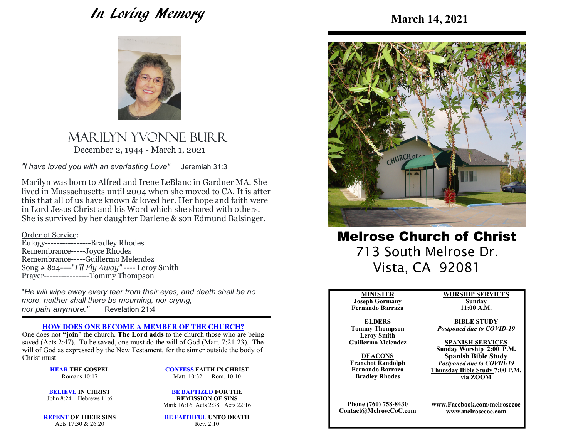# In Loving Memory



Marilyn YVOnne BurrDecember 2, 1944 - March 1, 2021

*"I have loved you with an everlasting Love"* Jeremiah 31:3

Marilyn was born to Alfred and Irene LeBlanc in Gardner MA. She lived in Massachusetts until 2004 when she moved to CA. It is after this that all of us have known & loved her. Her hope and faith were in Lord Jesus Christ and his Word which she shared with others. She is survived by her daughter Darlene & son Edmund Balsinger.

Order of Service: Eulogy----------------Bradley Rhodes Remembrance-----Joyce Rhodes Remembrance-----Guillermo Melendez Song # 824----"*I'll Fly Away"* ---- Leroy Smith Prayer----------------Tommy Thompson

"*He will wipe away every tear from their eyes, and death shall be no more, neither shall there be mourning, nor crying,nor pain anymore."*Revelation 21:4

#### **HOW DOES ONE BECOME A MEMBER OF THE CHURCH?**

 One does not **"join**" the church. **The Lord adds** to the church those who are being saved (Acts 2:47). To be saved, one must do the will of God (Matt. 7:21-23). The will of God as expressed by the New Testament, for the sinner outside the body of Christ must:

> **HEAR THE GOSPEL**Romans 10:17

**CONFESS FAITH IN CHRIST**Matt. 10:32 Rom. 10:10

**BE BAPTIZED FOR THE** 

**BELIEVE IN CHRIST**John 8:24 Hebrews 11:6

**REMISSION OF SINS**Mark 16:16 Acts 2:38 Acts 22:16

**REPENT OF THEIR SINS**Acts 17:30 & 26:20

**BE FAITHFUL UNTO DEATH**Rev. 2:10



Melrose Church of Christ 713 South Melrose Dr. Vista, CA 92081

#### **MINISTER**

 **Joseph Gormany Fernando Barraza**

**ELDERS Tommy Thompson Leroy SmithGuillermo Melendez** 

**DEACONS Franchot Randolph Fernando BarrazaBradley Rhodes**

**Phone (760) 758-8430Contact@MelroseCoC.com** **WORSHIP SERVICESSunday** 

**11:00 A.M.** 

**BIBLE STUDY***Postponed due to COVID-19*

**SPANISH SERVICES Sunday Worship 2:00 P.M.Spanish Bible Study** *Postponed due to COVID-19*  **Thursday Bible Study 7:00 P.M.via ZOOM**

**www.Facebook.com/melrosecocwww.melrosecoc.com**